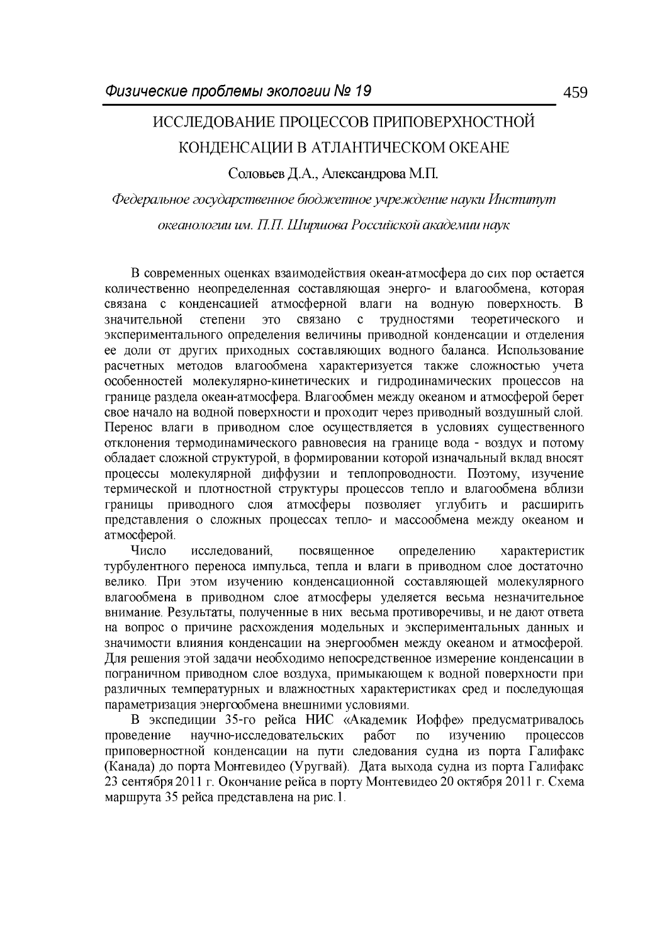## ИССЛЕДОВАНИЕ ПРОЦЕССОВ ПРИПОВЕРХНОСТНОЙ КОНДЕНСАЦИИ В АТЛАНТИЧЕСКОМ ОКЕАНЕ

Соловьев Д.А., Александрова М.П.

Федеральное государственное бюджетное учреждение науки Институт океанологии им. П.П. Ширшова Российской академии наук

В современных оценках взаимодействия океан-атмосфера до сих пор остается количественно неопределенная составляющая энерго- и влагообмена, которая связана с конденсацией атмосферной влаги на водную поверхность.  $\overline{B}$ значительной степени связано трудностями теоретического ЭТО  $\mathbf{c}$  $\overline{\mathbf{M}}$ экспериментального определения величины приводной конденсации и отделения ее доли от других приходных составляющих водного баланса. Использование расчетных методов влагообмена характеризуется также сложностью учета особенностей молекулярно-кинетических и гидродинамических процессов на границе раздела океан-атмосфера. Влагообмен между океаном и атмосферой берет свое начало на водной поверхности и проходит через приводный воздушный слой. Перенос влаги в приводном слое осуществляется в условиях существенного отклонения термодинамического равновесия на границе вода - воздух и потому обладает сложной структурой, в формировании которой изначальный вклад вносят процессы молекулярной диффузии и теплопроводности. Поэтому, изучение термической и плотностной структуры процессов тепло и влагообмена вблизи границы приводного слоя атмосферы позволяет углубить и расширить представления о сложных процессах тепло- и массообмена между океаном и атмосферой.

Число исследований. посвященное определению характеристик турбулентного переноса импульса, тепла и влаги в приводном слое достаточно велико. При этом изучению конденсационной составляющей молекулярного влагообмена в приводном слое атмосферы уделяется весьма незначительное внимание. Результаты, полученные в них весьма противоречивы, и не дают ответа на вопрос о причине расхождения модельных и экспериментальных данных и значимости влияния конденсации на энергообмен между океаном и атмосферой. Для решения этой задачи необходимо непосредственное измерение конденсации в пограничном приводном слое воздуха, примыкающем к водной поверхности при различных температурных и влажностных характеристиках сред и последующая параметризация энергообмена внешними условиями.

В экспедиции 35-го рейса НИС «Академик Иоффе» предусматривалось научно-исследовательских проведение работ изучению процессов  $\overline{10}$ приповерностной конденсации на пути следования судна из порта Галифакс (Канада) до порта Монтевидео (Уругвай). Дата выхода судна из порта Галифакс 23 сентября 2011 г. Окончание рейса в порту Монтевидео 20 октября 2011 г. Схема маршрута 35 рейса представлена на рис.1.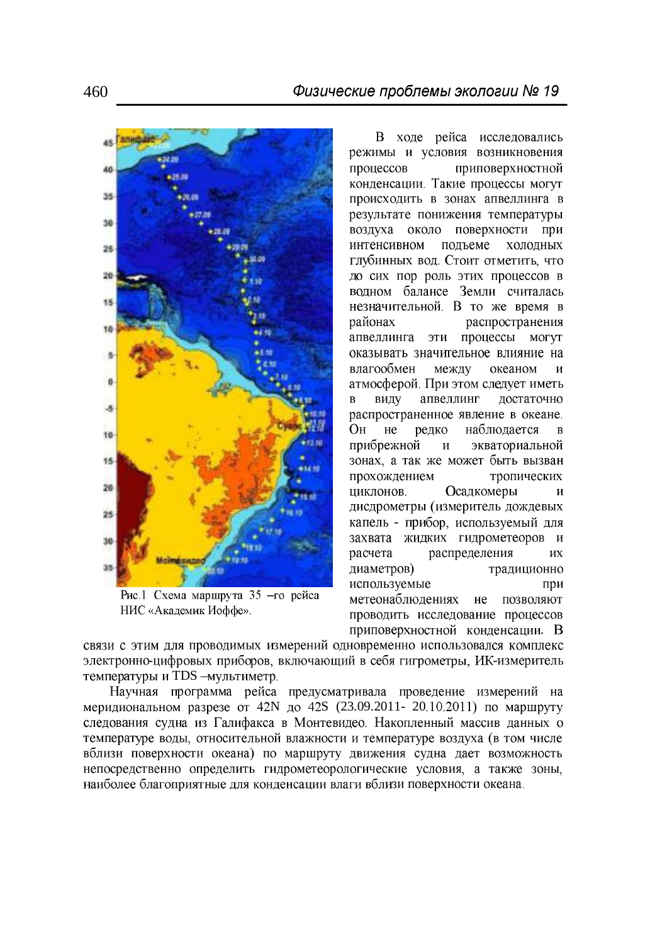

Рис.1 Схема маршрута 35 - го рейса НИС «Академик Иоффе».

В ходе рейса исследовались режимы и условия возникновения процессов приповерхностной конденсации. Такие процессы могут происходить в зонах апвеллинга в результате понижения температуры воздуха около поверхности при интенсивном подъеме холодных глубинных вод. Стоит отметить, что до сих пор роль этих процессов в водном балансе Земли считалась незначительной. В то же время в распространения районах апвеллинга эти процессы могут оказывать значительное влияние на влагообмен между океаном  $\overline{M}$ атмосферой. При этом следует иметь виду апвеллинг  $\overline{B}$ достаточно распространенное явление в океане. Он  $He$ редко наблюдается  $\overline{B}$ прибрежной экваториальной  $\mathbf{M}$ зонах, а так же может быть вызван прохождением тропических Осадкомеры циклонов. И дисдрометры (измеритель дождевых капель - прибор, используемый для захвата жидких гидрометеоров и распределения расчета ИX диаметров) традиционно используемые при метеонаблюдениях не позволяют проводить исследование процессов приповерхностной конденсации. В

связи с этим для проводимых измерений одновременно использовался комплекс электронно-цифровых приборов, включающий в себя гигрометры, ИК-измеритель температуры и TDS - мультиметр.

Научная программа рейса предусматривала проведение измерений на меридиональном разрезе от 42N до 42S (23.09.2011- 20.10.2011) по маршруту следования судна из Галифакса в Монтевидео. Накопленный массив данных о температуре воды, относительной влажности и температуре воздуха (в том числе вблизи поверхности океана) по маршруту движения судна дает возможность непосредственно определить гидрометеорологические условия, а также зоны, наиболее благоприятные для конденсации влаги вблизи поверхности океана.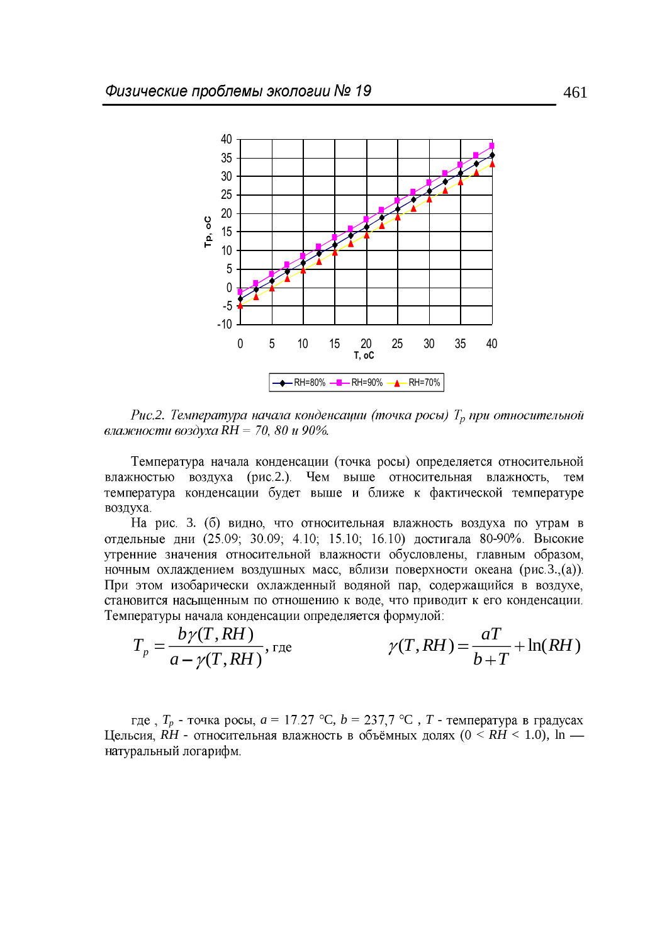

*Puc.2. Температура начала конденсации (точка росы)*  $T_p$  при относительной влажности воздуха RH = 70, 80 и 90%.

Температура начала конденсации (точка росы) определяется относительной влажностью воздуха (рис.2.). Чем выше относительная влажность, тем температура конденсации будет выше и ближе к фактической температуре воздуха.

На рис. 3. (б) видно, что относительная влажность воздуха по утрам в отдельные дни (25.09; 30.09; 4.10; 15.10; 16.10) достигала 80-90%. Высокие утренние значения относительной влажности обусловлены, главным образом, ночным охлаждением воздушных масс, вблизи поверхности океана (рис.3.,(а)). При этом изобарически охлажденный водяной пар, содержащийся в воздухе, становится насыщенным по отношению к воде, что приводит к его конденсации. Температуры начала конденсации определяется формулой:

$$
T_p = \frac{b\gamma(T, RH)}{a - \gamma(T, RH)}, \text{ rate} \qquad \gamma(T, RH) = \frac{aT}{b + T} + \ln(RH)
$$

где,  $T_p$  - точка росы,  $a = 17.27$  °C,  $b = 237.7$  °C,  $T$  - температура в градусах Цельсия,  $\dot{R}H$  - относительная влажность в объёмных долях ( $0 \leq \dot{R}H < 1.0$ ), ln натуральный логарифм.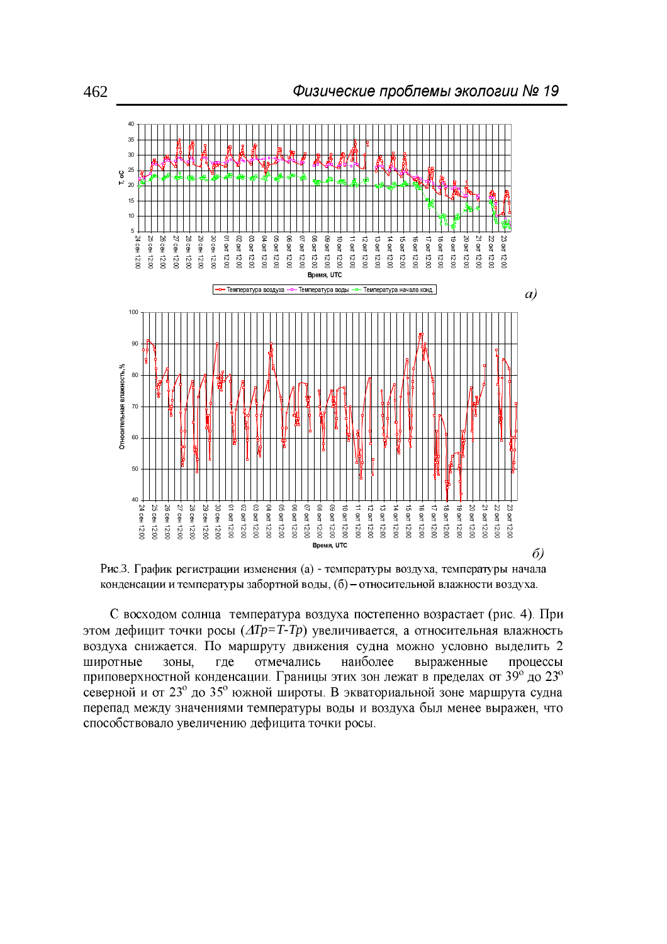



С восходом солнца температура воздуха постепенно возрастает (рис. 4). При этом дефицит точки росы  $(\Delta Tp = T - Tp)$  увеличивается, а относительная влажность воздуха снижается. По маршруту движения судна можно условно выделить 2 широтные ЗОНЫ, где отмечались наиболее выраженные процессы приповерхностной конденсации. Границы этих зон лежат в пределах от 39° до 23° северной и от 23° до 35° южной широты. В экваториальной зоне маршрута судна перепад между значениями температуры воды и воздуха был менее выражен, что способствовало увеличению дефицита точки росы.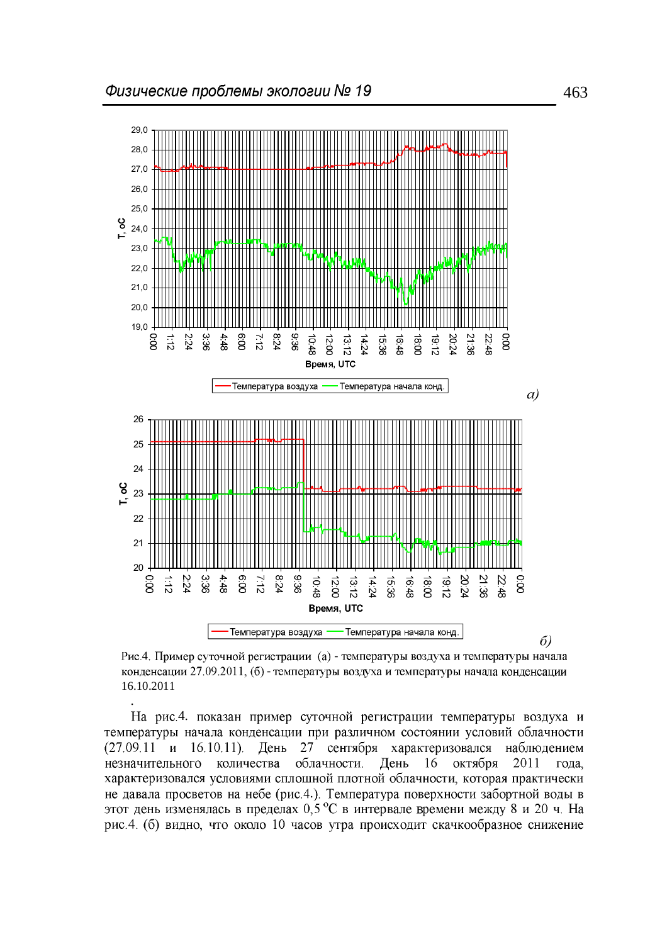

 $\delta$ 

Рис.4. Пример суточной регистрации (а) - температуры воздуха и температуры начала конденсации 27.09.2011, (б) - температуры воздуха и температуры начала конденсации 16.10.2011

*.*

На рис.4. показан пример суточной регистрации температуры воздуха и температуры начала конденсации при различном состоянии условий облачности 27 сентября характеризовался  $(27.09.11 \text{ } \text{H} \quad 16.10.11).$ День наблюдением незначительного количества облачности. День 16 октября 2011 года, характеризовался условиями сплошной плотной облачности, которая практически не давала просветов на небе (рис.4.). Температура поверхности забортной воды в этот день изменялась в пределах 0,5 °С в интервале времени между 8 и 20 ч. На рис. 4. (б) видно, что около 10 часов утра происходит скачкообразное снижение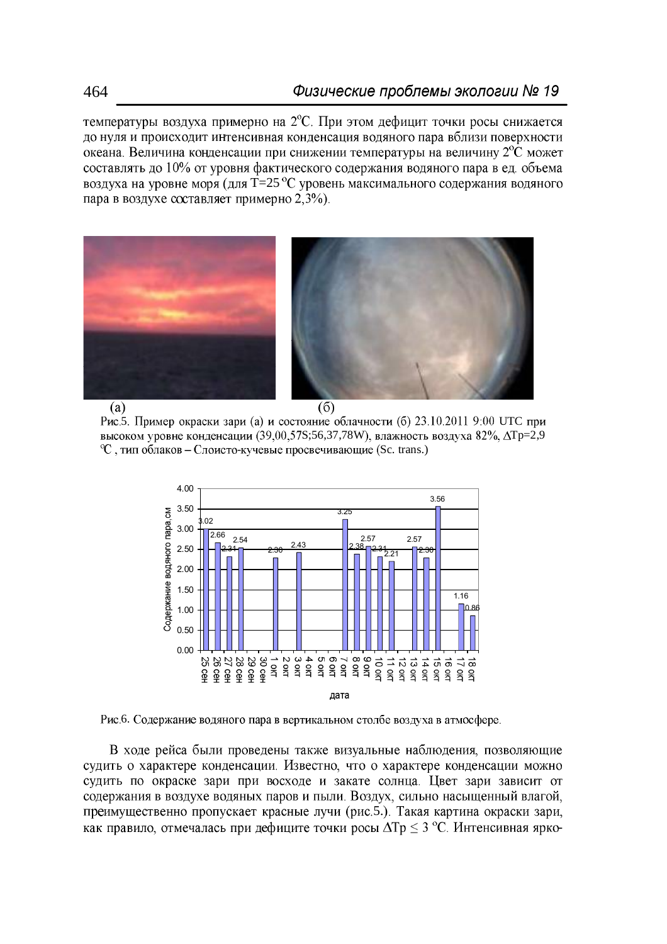температуры воздуха примерно на  $2^{\circ}$ С. При этом дефицит точки росы снижается до нуля и происходит интенсивная конденсация водяного пара вблизи поверхности океана. Величина конденсации при снижении температуры на величину  $2^{\circ}C$  может составлять до 10% от уровня фактического содержания водяного пара в ед. объема воздуха на уровне моря (для T=25 °С уровень максимального содержания водяного пара в воздухе составляет примерно 2,3%).



 $(a)$ 

 $(6)$ 

Рис.5. Пример окраски зари (а) и состояние облачности (б) 23.10.2011 9:00 UTC при высоком уровне конденсации (39,00,57S;56,37,78W), влажность воздуха 82%,  $\Delta T$ р=2,9  $\mathrm{C}$ . тип облаков – Слоисто-кучевые просвечивающие (Sc. trans.)



Рис.6. Содержание водяного пара в вертикальном столбе воздуха в атмосфере.

В ходе рейса были проведены также визуальные наблюдения, позволяющие судить о характере конденсации. Известно, что о характере конденсации можно судить по окраске зари при восходе и закате солнца. Цвет зари зависит от содержания в воздухе водяных паров и пыли. Воздух, сильно насыщенный влагой, преимущественно пропускает красные лучи (рис.5.). Такая картина окраски зари, как правило, отмечалась при дефиците точки росы  $\Delta T$ р  $\leq$  3 °C. Интенсивная ярко-

464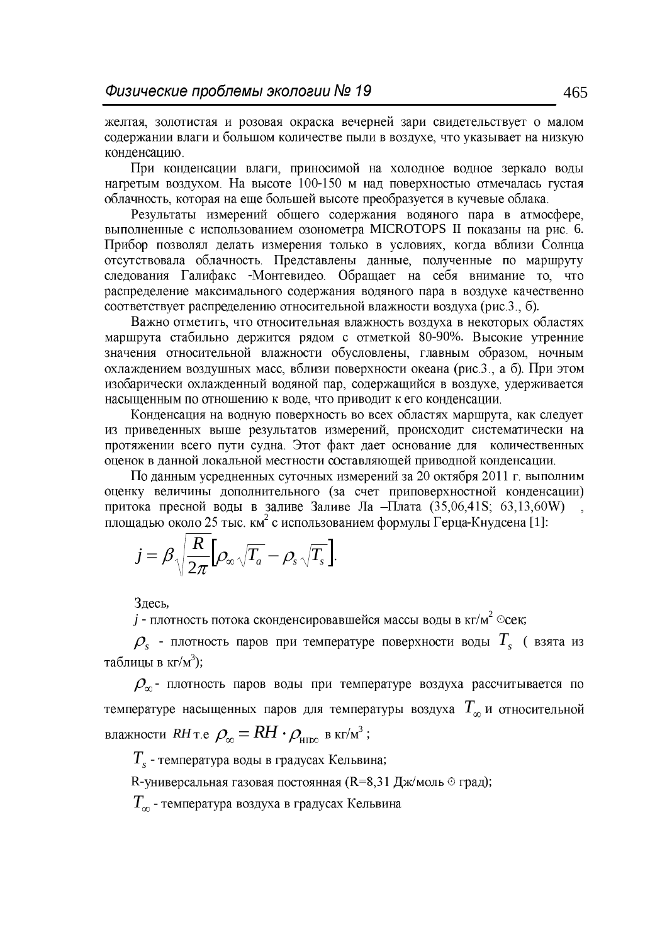желтая, золотистая и розовая окраска вечерней зари свидетельствует о малом содержании влаги и большом количестве пыли в воздухе, что указывает на низкую конденсацию.

При конденсации влаги, приносимой на холодное водное зеркало воды нагретым воздухом. На высоте 100-150 м над поверхностью отмечалась густая облачность, которая на еще большей высоте преобразуется в кучевые облака.

Результаты измерений общего содержания водяного пара в атмосфере, выполненные с использованием озонометра MICROTOPS II показаны на рис. 6. Прибор позволял делать измерения только в условиях, когда вблизи Солнца отсутствовала облачность. Представлены данные, полученные по маршруту следования Галифакс -Монтевидео. Обращает на себя внимание то, что распределение максимального содержания водяного пара в воздухе качественно соответствует распределению относительной влажности воздуха (рис.3., б).

Важно отметить, что относительная влажность воздуха в некоторых областях маршрута стабильно держится рядом с отметкой 80-90%. Высокие утренние значения относительной влажности обусловлены, главным образом, ночным охлаждением воздушных масс, вблизи поверхности океана (рис.3., а б). При этом изобарически охлажденный водяной пар, содержащийся в воздухе, удерживается насыщенным по отношению к воде, что приводит к его конденсации.

Конденсация на водную поверхность во всех областях маршрута, как следует из приведенных выше результатов измерений, происходит систематически на протяжении всего пути судна. Этот факт дает основание для количественных оценок в данной локальной местности составляющей приводной конденсации.

По данным усредненных суточных измерений за 20 октября 2011 г. выполним оценку величины дополнительного (за счет приповерхностной конденсации) притока пресной воды в заливе Заливе Ла - Плата (35,06,41S; 63,13,60W) площадью около 25 тыс. км<sup>2</sup> с использованием формулы Герца-Кнудсена [1]:

$$
j = \beta \sqrt{\frac{R}{2\pi}} \Big[ \rho_{\infty} \sqrt{T_{a}} - \rho_{s} \sqrt{T_{s}} \Big].
$$

Здесь,

 $j$  - плотность потока сконденсировавшейся массы воды в кг/м<sup>2</sup>  $\degree$ сек;

 $\rho_{s}$  - плотность паров при температуре поверхности воды  $T_{s}$  (взята из таблицы в  $\kappa r/m^3$ );

 $\rho_{\infty}$ - плотность паров воды при температуре воздуха рассчитывается по температуре насыщенных паров для температуры воздуха  $T_\infty$  и относительной влажности  $RH$ т.е  $\rho_{\infty} = RH \cdot \rho_{\text{HIEW}}$  в кг/м<sup>3</sup>;

 $T_{s}$  - температура воды в градусах Кельвина;

R-универсальная газовая постоянная (R=8,31 Дж/моль ⊙ град);

 $T_{\infty}$  - температура воздуха в градусах Кельвина